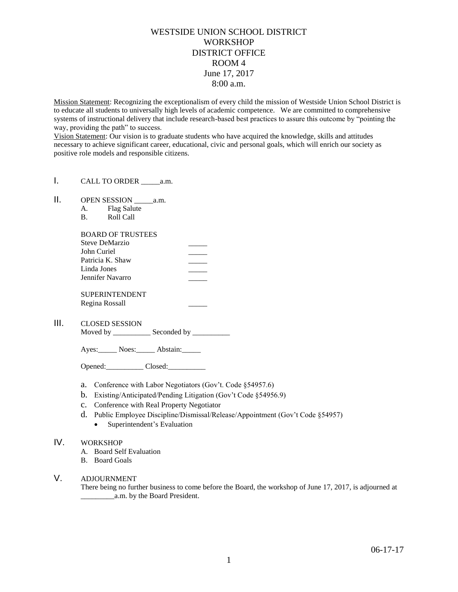## WESTSIDE UNION SCHOOL DISTRICT **WORKSHOP** DISTRICT OFFICE ROOM 4 June 17, 2017 8:00 a.m.

Mission Statement: Recognizing the exceptionalism of every child the mission of Westside Union School District is to educate all students to universally high levels of academic competence. We are committed to comprehensive systems of instructional delivery that include research-based best practices to assure this outcome by "pointing the way, providing the path" to success.

Vision Statement: Our vision is to graduate students who have acquired the knowledge, skills and attitudes necessary to achieve significant career, educational, civic and personal goals, which will enrich our society as positive role models and responsible citizens.

- I. CALL TO ORDER \_\_\_\_\_\_\_ a.m.
- II. OPEN SESSION \_\_\_\_\_a.m.
	- A. Flag Salute
	- B. Roll Call

| <b>BOARD OF TRUSTEES</b>                                                             |  |                       |  |
|--------------------------------------------------------------------------------------|--|-----------------------|--|
| Steve DeMarzio<br>John Curiel<br>Patricia K. Shaw<br>Linda Jones<br>Jennifer Navarro |  |                       |  |
|                                                                                      |  | <b>SUPERINTENDENT</b> |  |
|                                                                                      |  | Regina Rossall        |  |

III. CLOSED SESSION

Moved by \_\_\_\_\_\_\_\_\_\_\_\_\_ Seconded by \_\_\_\_\_\_\_\_\_\_\_

Ayes: Noes: Abstain:

Opened: Closed:

- a. Conference with Labor Negotiators (Gov't. Code §54957.6)
- b. Existing/Anticipated/Pending Litigation (Gov't Code §54956.9)
- c. Conference with Real Property Negotiator
- d. Public Employee Discipline/Dismissal/Release/Appointment (Gov't Code §54957)
	- Superintendent's Evaluation

## IV. WORKSHOP

- A. Board Self Evaluation
- B. Board Goals
- V. ADJOURNMENT

There being no further business to come before the Board, the workshop of June 17, 2017, is adjourned at \_\_\_\_\_\_\_\_\_a.m. by the Board President.